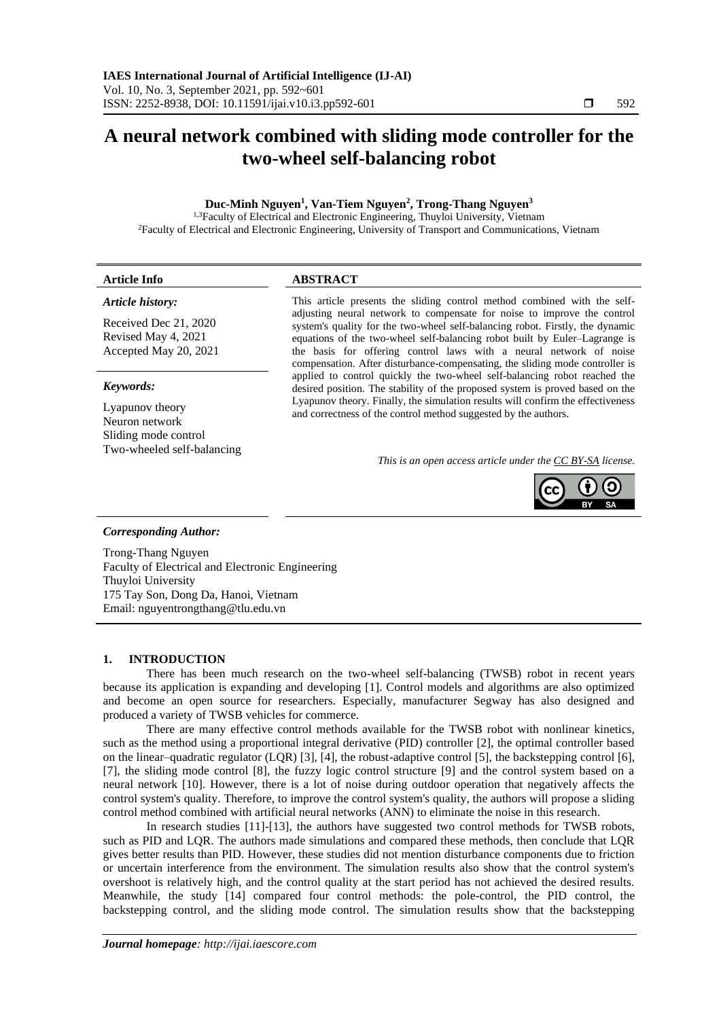# **A neural network combined with sliding mode controller for the two-wheel self-balancing robot**

# **Duc-Minh Nguyen<sup>1</sup> , Van-Tiem Nguyen<sup>2</sup> , Trong-Thang Nguyen<sup>3</sup>**

<sup>1,3</sup>Faculty of Electrical and Electronic Engineering, Thuyloi University, Vietnam <sup>2</sup>Faculty of Electrical and Electronic Engineering, University of Transport and Communications, Vietnam

## **Article Info ABSTRACT**

#### *Article history:*

Received Dec 21, 2020 Revised May 4, 2021 Accepted May 20, 2021

#### *Keywords:*

Lyapunov theory Neuron network Sliding mode control Two-wheeled self-balancing This article presents the sliding control method combined with the selfadjusting neural network to compensate for noise to improve the control system's quality for the two-wheel self-balancing robot. Firstly, the dynamic equations of the two-wheel self-balancing robot built by Euler–Lagrange is the basis for offering control laws with a neural network of noise compensation. After disturbance-compensating, the sliding mode controller is applied to control quickly the two-wheel self-balancing robot reached the desired position. The stability of the proposed system is proved based on the Lyapunov theory. Finally, the simulation results will confirm the effectiveness and correctness of the control method suggested by the authors.

*This is an open access article under th[e CC BY-SA](https://creativecommons.org/licenses/by-sa/4.0/) license.*



## *Corresponding Author:*

Trong-Thang Nguyen Faculty of Electrical and Electronic Engineering Thuyloi University 175 Tay Son, Dong Da, Hanoi, Vietnam Email: nguyentrongthang@tlu.edu.vn

# **1. INTRODUCTION**

There has been much research on the two-wheel self-balancing (TWSB) robot in recent years because its application is expanding and developing [1]. Control models and algorithms are also optimized and become an open source for researchers. Especially, manufacturer Segway has also designed and produced a variety of TWSB vehicles for commerce.

There are many effective control methods available for the TWSB robot with nonlinear kinetics, such as the method using a proportional integral derivative (PID) controller [2], the optimal controller based on the linear–quadratic regulator (LQR) [3], [4], the robust-adaptive control [5], the backstepping control [6], [7], the sliding mode control [8], the fuzzy logic control structure [9] and the control system based on a neural network [10]. However, there is a lot of noise during outdoor operation that negatively affects the control system's quality. Therefore, to improve the control system's quality, the authors will propose a sliding control method combined with artificial neural networks (ANN) to eliminate the noise in this research.

In research studies [11]-[13], the authors have suggested two control methods for TWSB robots, such as PID and LQR. The authors made simulations and compared these methods, then conclude that LQR gives better results than PID. However, these studies did not mention disturbance components due to friction or uncertain interference from the environment. The simulation results also show that the control system's overshoot is relatively high, and the control quality at the start period has not achieved the desired results. Meanwhile, the study [14] compared four control methods: the pole-control, the PID control, the backstepping control, and the sliding mode control. The simulation results show that the backstepping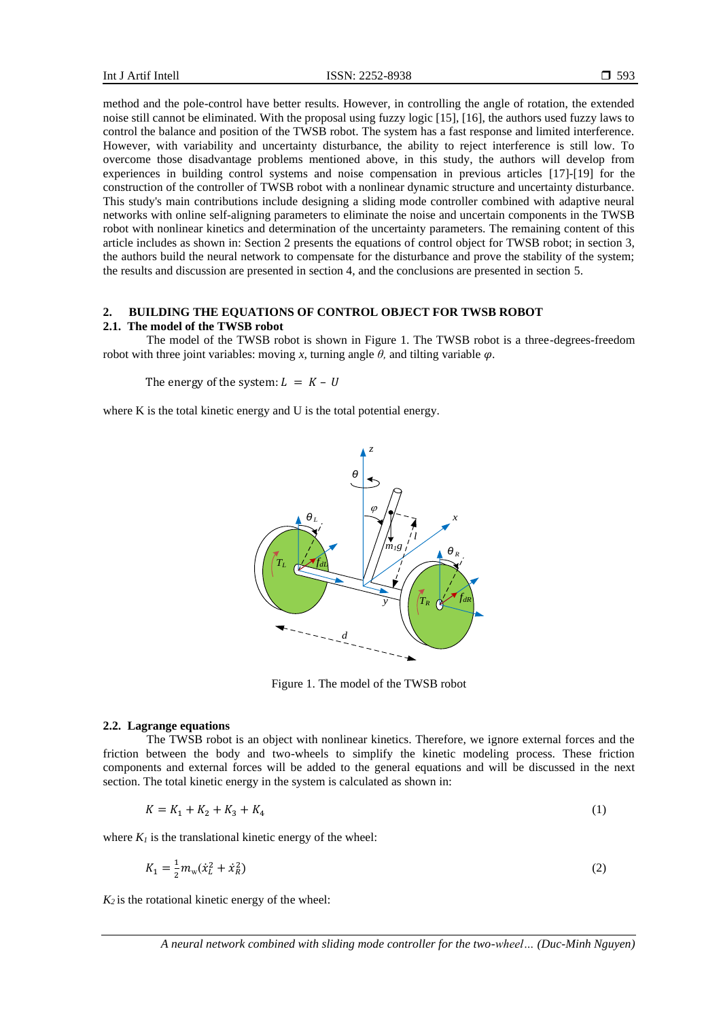method and the pole-control have better results. However, in controlling the angle of rotation, the extended noise still cannot be eliminated. With the proposal using fuzzy logic [15], [16], the authors used fuzzy laws to control the balance and position of the TWSB robot. The system has a fast response and limited interference. However, with variability and uncertainty disturbance, the ability to reject interference is still low. To overcome those disadvantage problems mentioned above, in this study, the authors will develop from experiences in building control systems and noise compensation in previous articles [17]-[19] for the construction of the controller of TWSB robot with a nonlinear dynamic structure and uncertainty disturbance. This study's main contributions include designing a sliding mode controller combined with adaptive neural networks with online self-aligning parameters to eliminate the noise and uncertain components in the TWSB robot with nonlinear kinetics and determination of the uncertainty parameters. The remaining content of this article includes as shown in: Section 2 presents the equations of control object for TWSB robot; in section 3, the authors build the neural network to compensate for the disturbance and prove the stability of the system; the results and discussion are presented in section 4, and the conclusions are presented in section 5.

# **2. BUILDING THE EQUATIONS OF CONTROL OBJECT FOR TWSB ROBOT**

# **2.1. The model of the TWSB robot**

The model of the TWSB robot is shown in Figure 1. The TWSB robot is a three-degrees-freedom robot with three joint variables: moving *x*, turning angle  $θ$ , and tilting variable  $φ$ .

The energy of the system:  $L = K - U$ 

where K is the total kinetic energy and U is the total potential energy.



Figure 1. The model of the TWSB robot

#### **2.2. Lagrange equations**

The TWSB robot is an object with nonlinear kinetics. Therefore, we ignore external forces and the friction between the body and two-wheels to simplify the kinetic modeling process. These friction components and external forces will be added to the general equations and will be discussed in the next section. The total kinetic energy in the system is calculated as shown in:

$$
K = K_1 + K_2 + K_3 + K_4 \tag{1}
$$

where  $K_I$  is the translational kinetic energy of the wheel:

$$
K_1 = \frac{1}{2} m_{\rm w} (\dot{x}_L^2 + \dot{x}_R^2)
$$
 (2)

 $K_2$  is the rotational kinetic energy of the wheel: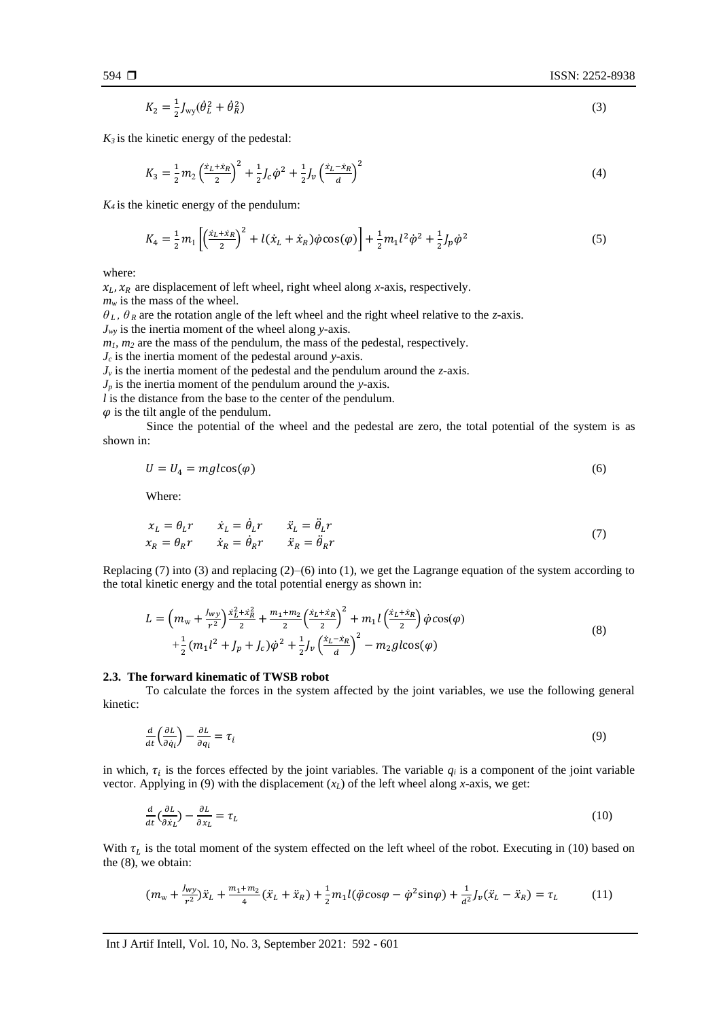$$
K_2 = \frac{1}{2} J_{\rm wy} (\dot{\theta}_L^2 + \dot{\theta}_R^2)
$$
 (3)

 $K_3$  is the kinetic energy of the pedestal:

$$
K_3 = \frac{1}{2}m_2 \left(\frac{x_L + x_R}{2}\right)^2 + \frac{1}{2}J_c \dot{\varphi}^2 + \frac{1}{2}J_v \left(\frac{x_L - x_R}{d}\right)^2 \tag{4}
$$

 $K_4$  is the kinetic energy of the pendulum:

$$
K_4 = \frac{1}{2}m_1 \left[ \left( \frac{x_L + x_R}{2} \right)^2 + l(\dot{x}_L + \dot{x}_R) \dot{\varphi} \cos(\varphi) \right] + \frac{1}{2}m_1 l^2 \dot{\varphi}^2 + \frac{1}{2} J_p \dot{\varphi}^2 \tag{5}
$$

where:

 $x_L$ ,  $x_R$  are displacement of left wheel, right wheel along *x*-axis, respectively.

 $m<sub>w</sub>$  is the mass of the wheel.

 $\theta_L$ ,  $\theta_R$  are the rotation angle of the left wheel and the right wheel relative to the *z*-axis.

 $J_{\gamma}$  is the inertia moment of the wheel along *y*-axis.

 $m_l$ ,  $m_2$  are the mass of the pendulum, the mass of the pedestal, respectively.

*J<sup>c</sup>* is the inertia moment of the pedestal around *y*-axis.

 $J<sub>v</sub>$  is the inertia moment of the pedestal and the pendulum around the *z*-axis.

*J<sup>p</sup>* is the inertia moment of the pendulum around the *y*-axis.

*l* is the distance from the base to the center of the pendulum.

 $\varphi$  is the tilt angle of the pendulum.

Since the potential of the wheel and the pedestal are zero, the total potential of the system is as shown in:

$$
U = U_4 = mg \cdot (\phi) \tag{6}
$$

Where:

$$
x_L = \theta_L r \t\t \dot{x}_L = \dot{\theta}_L r \t\t \ddot{x}_L = \ddot{\theta}_L r
$$
  
\n
$$
x_R = \theta_R r \t\t \dot{x}_R = \dot{\theta}_R r \t\t \ddot{x}_R = \ddot{\theta}_R r
$$
\n(7)

Replacing (7) into (3) and replacing (2)–(6) into (1), we get the Lagrange equation of the system according to the total kinetic energy and the total potential energy as shown in:

$$
L = \left(m_{\rm w} + \frac{J_{\rm w}y}{r^2}\right) \frac{\dot{x}_L^2 + \dot{x}_R^2}{2} + \frac{m_1 + m_2}{2} \left(\frac{\dot{x}_L + \dot{x}_R}{2}\right)^2 + m_1 l \left(\frac{\dot{x}_L + \dot{x}_R}{2}\right) \dot{\varphi} \cos(\varphi) + \frac{1}{2} (m_1 l^2 + J_p + J_c) \dot{\varphi}^2 + \frac{1}{2} J_\nu \left(\frac{\dot{x}_L - \dot{x}_R}{d}\right)^2 - m_2 g l \cos(\varphi)
$$
\n(8)

#### **2.3. The forward kinematic of TWSB robot**

To calculate the forces in the system affected by the joint variables, we use the following general kinetic:

$$
\frac{d}{dt}\left(\frac{\partial L}{\partial \dot{q}_i}\right) - \frac{\partial L}{\partial q_i} = \tau_i
$$
\n(9)

in which,  $\tau_i$  is the forces effected by the joint variables. The variable  $q_i$  is a component of the joint variable vector. Applying in (9) with the displacement  $(x_L)$  of the left wheel along *x*-axis, we get:

$$
\frac{d}{dt}\left(\frac{\partial L}{\partial \dot{x}_L}\right) - \frac{\partial L}{\partial x_L} = \tau_L
$$
\n(10)

With  $\tau_L$  is the total moment of the system effected on the left wheel of the robot. Executing in (10) based on the (8), we obtain:

$$
(m_{\rm w} + \frac{J_{\rm w} y}{r^2})\ddot{x}_L + \frac{m_1 + m_2}{4}(\ddot{x}_L + \ddot{x}_R) + \frac{1}{2}m_1 l(\ddot{\varphi}\cos\varphi - \dot{\varphi}^2 \sin\varphi) + \frac{1}{a^2} J_{\nu}(\ddot{x}_L - \ddot{x}_R) = \tau_L
$$
 (11)

$$
(\mathbf{3})
$$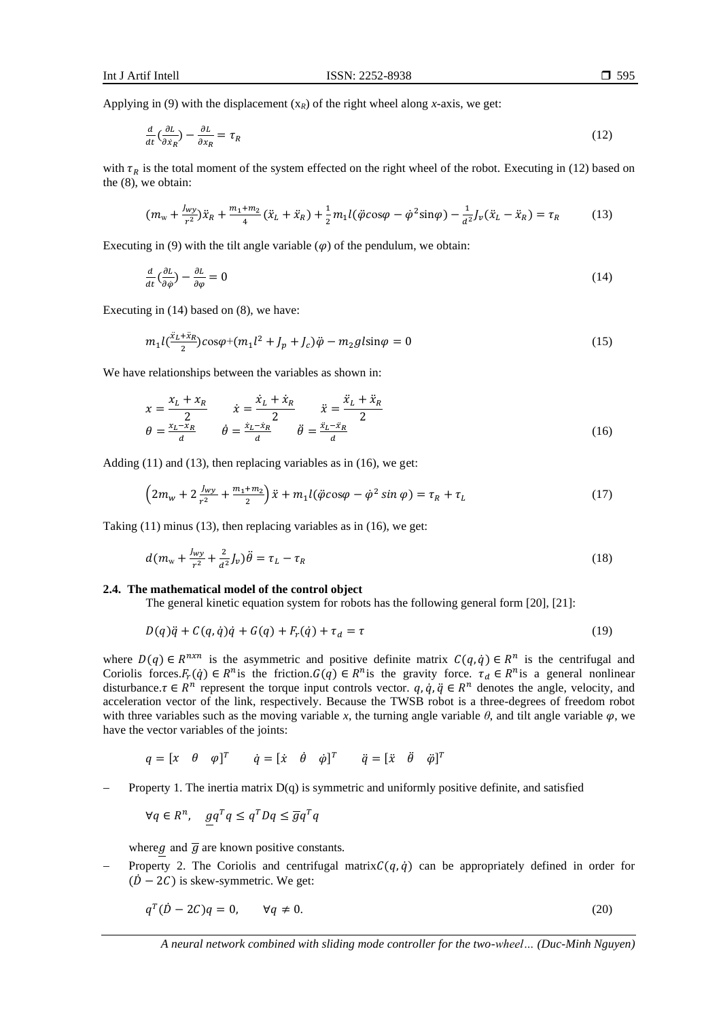Applying in (9) with the displacement  $(x_R)$  of the right wheel along *x*-axis, we get:

$$
\frac{d}{dt}\left(\frac{\partial L}{\partial \dot{x}_R}\right) - \frac{\partial L}{\partial x_R} = \tau_R
$$
\n(12)

with  $\tau_R$  is the total moment of the system effected on the right wheel of the robot. Executing in (12) based on the (8), we obtain:

$$
(m_{\rm w} + \frac{J_{\rm wy}}{r^2})\ddot{x}_R + \frac{m_1 + m_2}{4}(\ddot{x}_L + \ddot{x}_R) + \frac{1}{2}m_1l(\ddot{\varphi}\cos\varphi - \dot{\varphi}^2\sin\varphi) - \frac{1}{a^2}J_{\nu}(\ddot{x}_L - \ddot{x}_R) = \tau_R
$$
 (13)

Executing in (9) with the tilt angle variable  $(\varphi)$  of the pendulum, we obtain:

$$
\frac{d}{dt}\left(\frac{\partial L}{\partial \dot{\varphi}}\right) - \frac{\partial L}{\partial \varphi} = 0\tag{14}
$$

Executing in (14) based on (8), we have:

$$
m_1 l(\frac{x_L + x_R}{2}) \cos \varphi + (m_1 l^2 + J_p + J_c) \ddot{\varphi} - m_2 g l \sin \varphi = 0
$$
\n(15)

We have relationships between the variables as shown in:

$$
\begin{aligned}\n x &= \frac{x_L + x_R}{2} & \dot{x} &= \frac{\dot{x}_L + \dot{x}_R}{2} & \ddot{x} &= \frac{\ddot{x}_L + \ddot{x}_R}{2} \\
\theta &= \frac{x_L - x_R}{d} & \dot{\theta} &= \frac{\dot{x}_L - \dot{x}_R}{d} & \ddot{\theta} &= \frac{\ddot{x}_L - \ddot{x}_R}{d}\n \end{aligned}\n \tag{16}
$$

Adding (11) and (13), then replacing variables as in (16), we get:

$$
\left(2m_w + 2\frac{J_{wy}}{r^2} + \frac{m_1 + m_2}{2}\right)\ddot{x} + m_1 l(\ddot{\varphi}\cos\varphi - \dot{\varphi}^2\sin\varphi) = \tau_R + \tau_L\tag{17}
$$

Taking (11) minus (13), then replacing variables as in (16), we get:

$$
d(mw + \frac{J_{wy}}{r^2} + \frac{2}{d^2}J_v)\ddot{\theta} = \tau_L - \tau_R
$$
\n(18)

#### **2.4. The mathematical model of the control object**

The general kinetic equation system for robots has the following general form [20], [21]:

$$
D(q)\ddot{q} + C(q,\dot{q})\dot{q} + G(q) + F_r(\dot{q}) + \tau_d = \tau
$$
\n(19)

where  $D(q) \in R^{n \times n}$  is the asymmetric and positive definite matrix  $C(q, \dot{q}) \in R^n$  is the centrifugal and Coriolis forces. $F_r(q) \in R^n$  is the friction. $G(q) \in R^n$  is the gravity force.  $\tau_d \in R^n$  is a general nonlinear disturbance.  $\tau \in R^n$  represent the torque input controls vector.  $q, \dot{q}, \ddot{q} \in R^n$  denotes the angle, velocity, and acceleration vector of the link, respectively. Because the TWSB robot is a three-degrees of freedom robot with three variables such as the moving variable x, the turning angle variable  $\theta$ , and tilt angle variable  $\varphi$ , we have the vector variables of the joints:

$$
q = [x \quad \theta \quad \varphi]^T \qquad \dot{q} = [\dot{x} \quad \dot{\theta} \quad \dot{\varphi}]^T \qquad \ddot{q} = [\ddot{x} \quad \ddot{\theta} \quad \ddot{\varphi}]^T
$$

Property 1. The inertia matrix  $D(q)$  is symmetric and uniformly positive definite, and satisfied

$$
\forall q \in R^n, \quad g q^T q \le q^T D q \le \overline{g} q^T q
$$

where g and  $\overline{g}$  are known positive constants.

Property 2. The Coriolis and centrifugal matrix $C(q, \dot{q})$  can be appropriately defined in order for  $(\dot{D} - 2C)$  is skew-symmetric. We get:

$$
q^T(\dot{D} - 2C)q = 0, \qquad \forall q \neq 0. \tag{20}
$$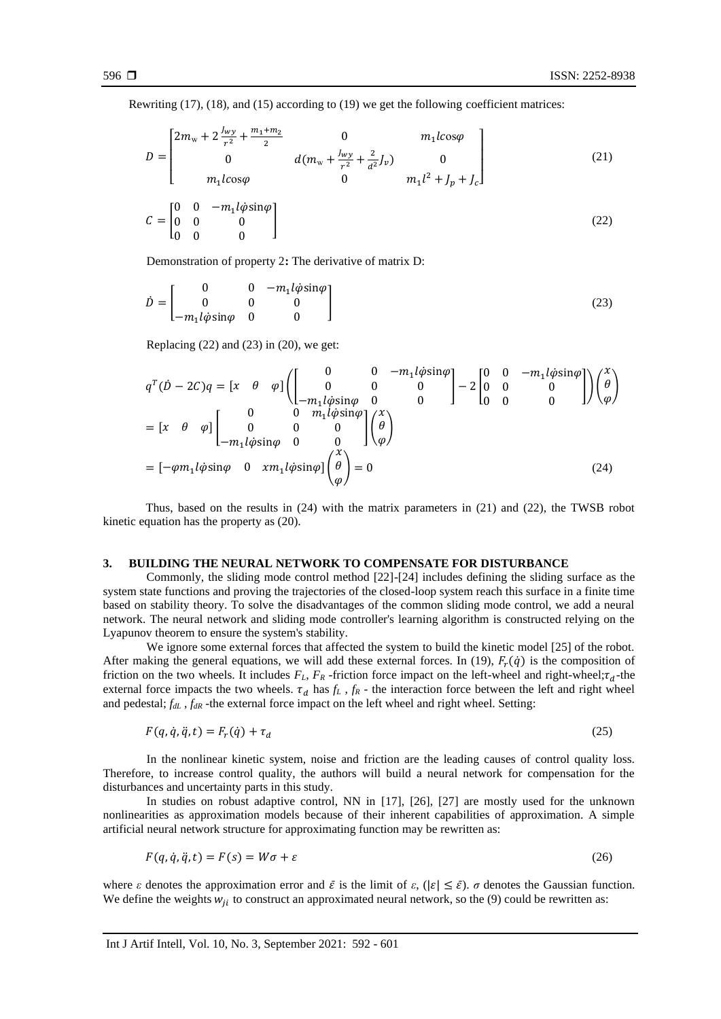Rewriting (17), (18), and (15) according to (19) we get the following coefficient matrices:

$$
D = \begin{bmatrix} 2m_{\rm w} + 2\frac{J_{\rm wy}}{r^2} + \frac{m_1 + m_2}{2} & 0 & m_1lcos\varphi \\ 0 & d(m_{\rm w} + \frac{J_{\rm wy}}{r^2} + \frac{2}{a^2}J_{\nu}) & 0 \\ m_1lcos\varphi & 0 & m_1l^2 + J_p + J_c \end{bmatrix}
$$
(21)

$$
C = \begin{bmatrix} 0 & 0 & -m_1 l \dot{\varphi} \sin \varphi \\ 0 & 0 & 0 \\ 0 & 0 & 0 \end{bmatrix}
$$
 (22)

Demonstration of property 2**:** The derivative of matrix D:

$$
\dot{D} = \begin{bmatrix} 0 & 0 & -m_1 l \dot{\phi} \sin \varphi \\ 0 & 0 & 0 \\ -m_1 l \dot{\phi} \sin \varphi & 0 & 0 \end{bmatrix}
$$
(23)

Replacing  $(22)$  and  $(23)$  in  $(20)$ , we get:

$$
q^{T}(\dot{D} - 2C)q = \begin{bmatrix} x & \theta & \varphi \end{bmatrix} \begin{bmatrix} 0 & 0 & -m_1 l\dot{\varphi} \sin \varphi \\ 0 & 0 & 0 \\ -m_1 l\dot{\varphi} \sin \varphi & 0 & 0 \end{bmatrix} - 2 \begin{bmatrix} 0 & 0 & -m_1 l\dot{\varphi} \sin \varphi \\ 0 & 0 & 0 \\ 0 & 0 & 0 \end{bmatrix} \begin{bmatrix} x \\ \theta \\ \varphi \end{bmatrix}
$$

$$
= \begin{bmatrix} x & \theta & \varphi \end{bmatrix} \begin{bmatrix} 0 & 0 & m_1 l\dot{\varphi} \sin \varphi \\ 0 & 0 & 0 \\ -m_1 l\dot{\varphi} \sin \varphi & 0 & 0 \end{bmatrix} \begin{bmatrix} x \\ \theta \\ \varphi \end{bmatrix}
$$

$$
= \begin{bmatrix} -\varphi m_1 l\dot{\varphi} \sin \varphi & 0 & x m_1 l\dot{\varphi} \sin \varphi \end{bmatrix} \begin{bmatrix} x \\ \theta \\ \varphi \end{bmatrix} = 0
$$
(24)

Thus, based on the results in (24) with the matrix parameters in (21) and (22), the TWSB robot kinetic equation has the property as (20).

## **3. BUILDING THE NEURAL NETWORK TO COMPENSATE FOR DISTURBANCE**

Commonly, the sliding mode control method [22]-[24] includes defining the sliding surface as the system state functions and proving the trajectories of the closed-loop system reach this surface in a finite time based on stability theory. To solve the disadvantages of the common sliding mode control, we add a neural network. The neural network and sliding mode controller's learning algorithm is constructed relying on the Lyapunov theorem to ensure the system's stability.

We ignore some external forces that affected the system to build the kinetic model [25] of the robot. After making the general equations, we will add these external forces. In (19),  $F_r(\dot{q})$  is the composition of friction on the two wheels. It includes  $F_L$ ,  $F_R$  -friction force impact on the left-wheel and right-wheel; $\tau_d$ -the external force impacts the two wheels.  $\tau_d$  has  $f_L$ ,  $f_R$  - the interaction force between the left and right wheel and pedestal; *fdL* , *fdR* -the external force impact on the left wheel and right wheel. Setting:

$$
F(q, \dot{q}, \ddot{q}, t) = F_r(\dot{q}) + \tau_d \tag{25}
$$

In the nonlinear kinetic system, noise and friction are the leading causes of control quality loss. Therefore, to increase control quality, the authors will build a neural network for compensation for the disturbances and uncertainty parts in this study.

In studies on robust adaptive control, NN in [17], [26], [27] are mostly used for the unknown nonlinearities as approximation models because of their inherent capabilities of approximation. A simple artificial neural network structure for approximating function may be rewritten as:

$$
F(q, \dot{q}, \ddot{q}, t) = F(s) = W\sigma + \varepsilon
$$
\n<sup>(26)</sup>

where *ε* denotes the approximation error and  $\bar{\varepsilon}$  is the limit of  $\varepsilon$ ,  $(|\varepsilon| \leq \bar{\varepsilon})$ . *σ* denotes the Gaussian function. We define the weights  $w_{ii}$  to construct an approximated neural network, so the (9) could be rewritten as: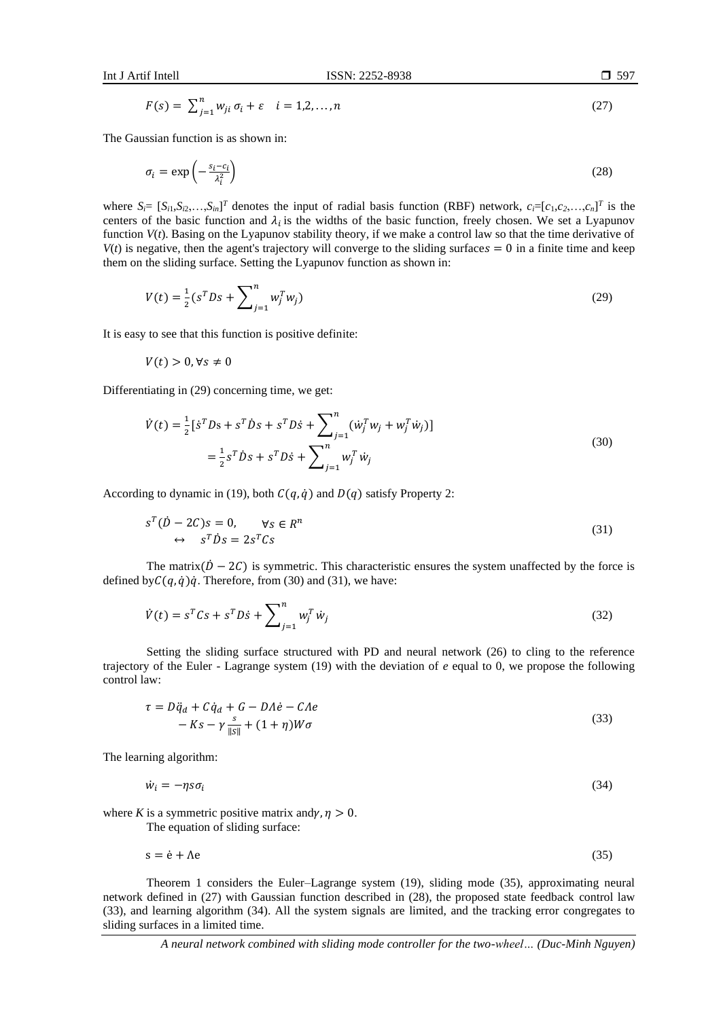$$
F(s) = \sum_{j=1}^{n} w_{ji} \sigma_i + \varepsilon \quad i = 1, 2, \dots, n \tag{27}
$$

The Gaussian function is as shown in:

$$
\sigma_i = \exp\left(-\frac{s_i - c_i}{\lambda_i^2}\right) \tag{28}
$$

where  $S_i = [S_{i1}, S_{i2},...,S_{in}]^T$  denotes the input of radial basis function (RBF) network,  $c_i = [c_1, c_2,...,c_n]^T$  is the centers of the basic function and  $\lambda_i$  is the widths of the basic function, freely chosen. We set a Lyapunov function *V*(*t*). Basing on the Lyapunov stability theory, if we make a control law so that the time derivative of  $V(t)$  is negative, then the agent's trajectory will converge to the sliding surfaces  $= 0$  in a finite time and keep them on the sliding surface. Setting the Lyapunov function as shown in:

$$
V(t) = \frac{1}{2} (s^T D s + \sum_{j=1}^n w_j^T w_j)
$$
 (29)

It is easy to see that this function is positive definite:

$$
V(t) > 0, \forall s \neq 0
$$

Differentiating in (29) concerning time, we get:

$$
\dot{V}(t) = \frac{1}{2} \left[ \dot{s}^T D s + s^T \dot{D} s + s^T D \dot{s} + \sum_{j=1}^n (\dot{w}_j^T w_j + w_j^T \dot{w}_j) \right]
$$
  
=  $\frac{1}{2} s^T \dot{D} s + s^T D \dot{s} + \sum_{j=1}^n w_j^T \dot{w}_j$  (30)

According to dynamic in (19), both  $C(q, \dot{q})$  and  $D(q)$  satisfy Property 2:

$$
sT(\dot{D} - 2C)s = 0, \t\forall s \in Rn
$$
  
\n
$$
\leftrightarrow sT \dot{D} s = 2sT Cs
$$
\n(31)

The matrix( $\dot{D} - 2C$ ) is symmetric. This characteristic ensures the system unaffected by the force is defined by  $C(q, \dot{q})\dot{q}$ . Therefore, from (30) and (31), we have:

$$
\dot{V}(t) = s^T C s + s^T D \dot{s} + \sum_{j=1}^n w_j^T \dot{w}_j
$$
\n(32)

Setting the sliding surface structured with PD and neural network (26) to cling to the reference trajectory of the Euler - Lagrange system (19) with the deviation of *e* equal to 0, we propose the following control law:

$$
\tau = D\ddot{q}_d + C\dot{q}_d + G - D\Lambda \dot{e} - CAe
$$
  
- Ks -  $\gamma \frac{s}{\|S\|} + (1 + \eta)W\sigma$  (33)

The learning algorithm:

 $\dot{w}_i = -\eta s \sigma_i$ (34)

where *K* is a symmetric positive matrix and $\gamma$ ,  $\eta > 0$ . The equation of sliding surface:

$$
s = \dot{e} + \Lambda e \tag{35}
$$

Theorem 1 considers the Euler–Lagrange system (19), sliding mode (35), approximating neural network defined in (27) with Gaussian function described in (28), the proposed state feedback control law (33), and learning algorithm (34). All the system signals are limited, and the tracking error congregates to sliding surfaces in a limited time.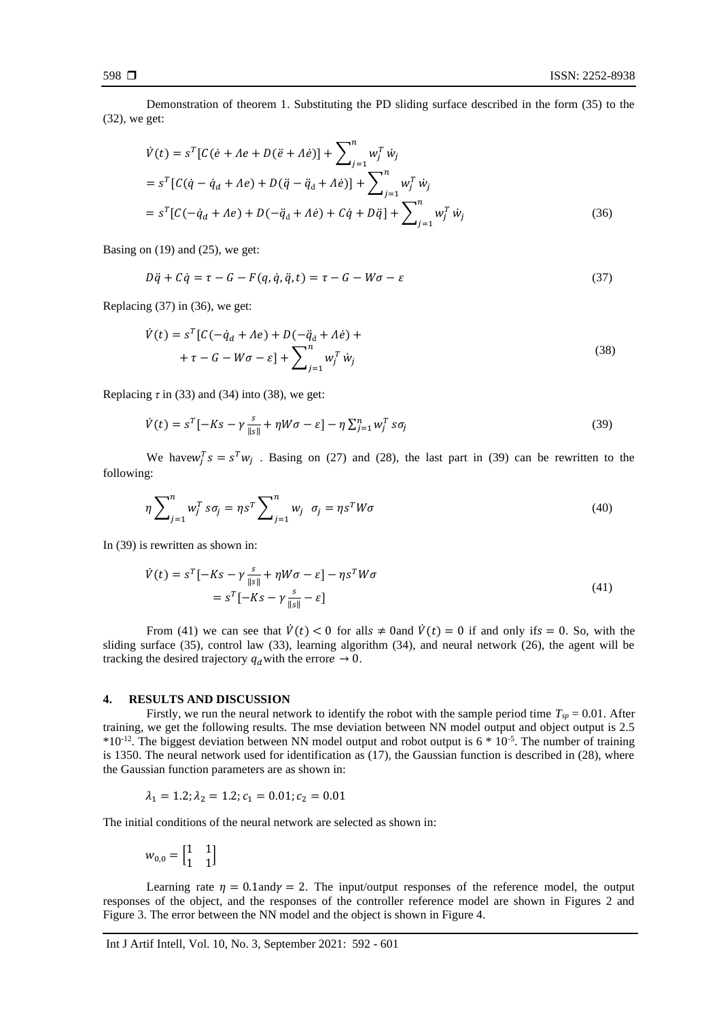Demonstration of theorem 1. Substituting the PD sliding surface described in the form (35) to the (32), we get:

$$
\dot{V}(t) = s^{T} [C(\dot{e} + Ae + D(\ddot{e} + A\dot{e}))] + \sum_{j=1}^{n} w_{j}^{T} \dot{w}_{j}
$$
\n
$$
= s^{T} [C(\dot{q} - \dot{q}_{d} + Ae) + D(\ddot{q} - \ddot{q}_{d} + A\dot{e})] + \sum_{j=1}^{n} w_{j}^{T} \dot{w}_{j}
$$
\n
$$
= s^{T} [C(-\dot{q}_{d} + Ae) + D(-\ddot{q}_{d} + A\dot{e}) + C\dot{q} + D\ddot{q}] + \sum_{j=1}^{n} w_{j}^{T} \dot{w}_{j}
$$
\n(36)

Basing on  $(19)$  and  $(25)$ , we get:

$$
D\ddot{q} + C\dot{q} = \tau - G - F(q, \dot{q}, \ddot{q}, t) = \tau - G - W\sigma - \varepsilon
$$
\n(37)

Replacing (37) in (36), we get:

$$
\dot{V}(t) = s^{T} [C(-\dot{q}_{d} + Ae) + D(-\ddot{q}_{d} + A\dot{e}) ++ \tau - G - W\sigma - \varepsilon] + \sum_{j=1}^{n} w_{j}^{T} \dot{w}_{j}
$$
\n(38)

Replacing  $\tau$  in (33) and (34) into (38), we get:

$$
\dot{V}(t) = s^T [-Ks - \gamma \frac{s}{\|s\|} + \eta W \sigma - \varepsilon] - \eta \sum_{j=1}^n w_j^T s \sigma_j
$$
\n(39)

We have  $w_j^T s = s^T w_j$ . Basing on (27) and (28), the last part in (39) can be rewritten to the following:

$$
\eta \sum_{j=1}^{n} w_j^T s \sigma_j = \eta s^T \sum_{j=1}^{n} w_j \quad \sigma_j = \eta s^T W \sigma \tag{40}
$$

In (39) is rewritten as shown in:

$$
\dot{V}(t) = s^T [-Ks - \gamma \frac{s}{\|s\|} + \eta W \sigma - \varepsilon] - \eta s^T W \sigma
$$
  
=  $s^T [-Ks - \gamma \frac{s}{\|s\|} - \varepsilon]$  (41)

From (41) we can see that  $\dot{V}(t) < 0$  for all  $t \neq 0$  and  $\dot{V}(t) = 0$  if and only if  $s = 0$ . So, with the sliding surface (35), control law (33), learning algorithm (34), and neural network (26), the agent will be tracking the desired trajectory  $q_d$  with the error  $\rightarrow 0$ .

#### **4. RESULTS AND DISCUSSION**

Firstly, we run the neural network to identify the robot with the sample period time  $T_{sp} = 0.01$ . After training, we get the following results. The mse deviation between NN model output and object output is 2.5  $*10^{-12}$ . The biggest deviation between NN model output and robot output is 6  $*10^{-5}$ . The number of training is 1350. The neural network used for identification as (17), the Gaussian function is described in (28), where the Gaussian function parameters are as shown in:

$$
\lambda_1 = 1.2; \lambda_2 = 1.2; c_1 = 0.01; c_2 = 0.01
$$

The initial conditions of the neural network are selected as shown in:

$$
w_{0,0} = \begin{bmatrix} 1 & 1 \\ 1 & 1 \end{bmatrix}
$$

Learning rate  $\eta = 0.1$ and $\gamma = 2$ . The input/output responses of the reference model, the output responses of the object, and the responses of the controller reference model are shown in Figures 2 and Figure 3. The error between the NN model and the object is shown in Figure 4.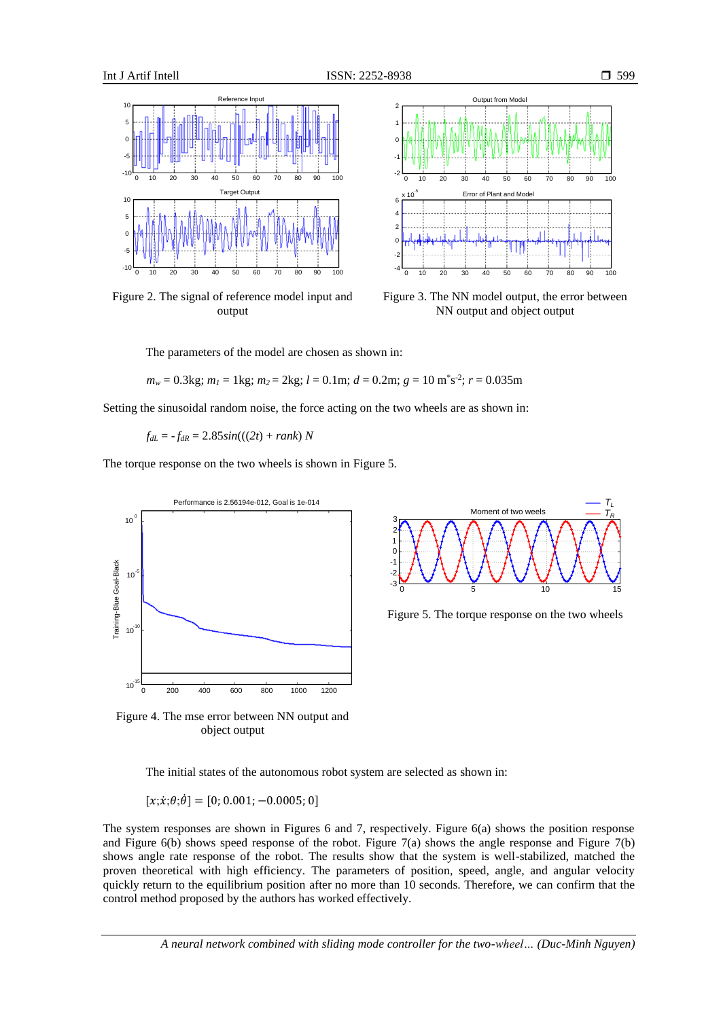





Figure 3. The NN model output, the error between NN output and object output

The parameters of the model are chosen as shown in:

*m<sup>w</sup>* = 0.3kg; *m<sup>1</sup>* = 1kg; *m2* = 2kg; *l* = 0.1m; *d* = 0.2m; *g* = 10 m\* s -2 ; *r* = 0.035m

Setting the sinusoidal random noise, the force acting on the two wheels are as shown in:

 $f_{dL} = -f_{dR} = 2.85 \sin(((2t) + rank) N)$ 

The torque response on the two wheels is shown in Figure 5.





Figure 5. The torque response on the two wheels

Figure 4. The mse error between NN output and object output

The initial states of the autonomous robot system are selected as shown in:

 $[x;\dot{x};\theta;\dot{\theta}] = [0;0.001;-0.0005;0]$ 

The system responses are shown in Figures 6 and 7, respectively. Figure 6(a) shows the position response and Figure 6(b) shows speed response of the robot. Figure 7(a) shows the angle response and Figure 7(b) shows angle rate response of the robot. The results show that the system is well-stabilized, matched the proven theoretical with high efficiency. The parameters of position, speed, angle, and angular velocity quickly return to the equilibrium position after no more than 10 seconds. Therefore, we can confirm that the control method proposed by the authors has worked effectively.

*A neural network combined with sliding mode controller for the two-wheel… (Duc-Minh Nguyen)*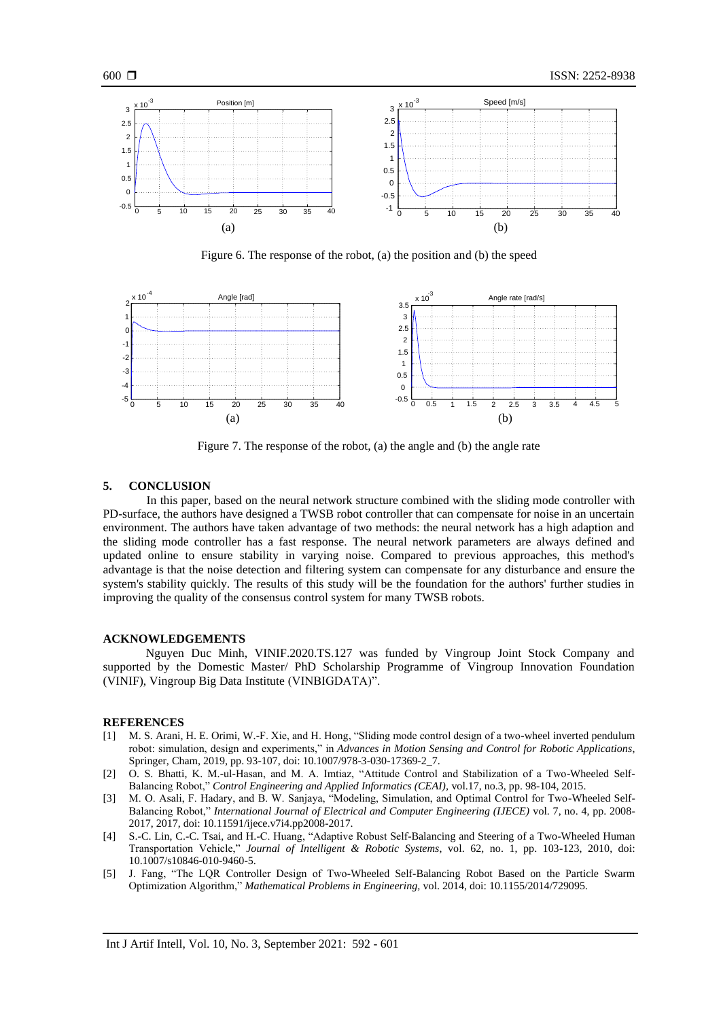

Figure 6. The response of the robot, (a) the position and (b) the speed



Figure 7. The response of the robot, (a) the angle and (b) the angle rate

## **5. CONCLUSION**

In this paper, based on the neural network structure combined with the sliding mode controller with PD-surface, the authors have designed a TWSB robot controller that can compensate for noise in an uncertain environment. The authors have taken advantage of two methods: the neural network has a high adaption and the sliding mode controller has a fast response. The neural network parameters are always defined and updated online to ensure stability in varying noise. Compared to previous approaches, this method's advantage is that the noise detection and filtering system can compensate for any disturbance and ensure the system's stability quickly. The results of this study will be the foundation for the authors' further studies in improving the quality of the consensus control system for many TWSB robots.

#### **ACKNOWLEDGEMENTS**

Nguyen Duc Minh, VINIF.2020.TS.127 was funded by Vingroup Joint Stock Company and supported by the Domestic Master/ PhD Scholarship Programme of Vingroup Innovation Foundation (VINIF), Vingroup Big Data Institute (VINBIGDATA)".

#### **REFERENCES**

- [1] M. S. Arani, H. E. Orimi, W.-F. Xie, and H. Hong, "Sliding mode control design of a two-wheel inverted pendulum robot: simulation, design and experiments," in *Advances in Motion Sensing and Control for Robotic Applications*, Springer, Cham, 2019, pp. 93-107, doi: 10.1007/978-3-030-17369-2\_7.
- [2] O. S. Bhatti, K. M.-ul-Hasan, and M. A. Imtiaz, "Attitude Control and Stabilization of a Two-Wheeled Self-Balancing Robot," *Control Engineering and Applied Informatics (CEAI),* vol.17, no.3, pp. 98-104, 2015.
- [3] M. O. Asali, F. Hadary, and B. W. Sanjaya, "Modeling, Simulation, and Optimal Control for Two-Wheeled Self-Balancing Robot," *International Journal of Electrical and Computer Engineering (IJECE)* vol. 7, no. 4, pp. 2008- 2017, 2017, doi: 10.11591/ijece.v7i4.pp2008-2017.
- [4] S.-C. Lin, C.-C. Tsai, and H.-C. Huang, "Adaptive Robust Self-Balancing and Steering of a Two-Wheeled Human Transportation Vehicle," *Journal of Intelligent & Robotic Systems*, vol. 62, no. 1, pp. 103-123, 2010, doi: 10.1007/s10846-010-9460-5.
- [5] J. Fang, "The LQR Controller Design of Two-Wheeled Self-Balancing Robot Based on the Particle Swarm Optimization Algorithm," *Mathematical Problems in Engineering,* vol. 2014, doi: 10.1155/2014/729095*.*